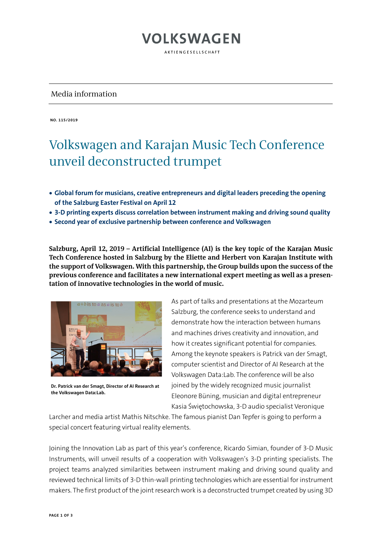### Media information

**NO. 115/2019**

### Volkswagen and Karajan Music Tech Conference unveil deconstructed trumpet

**VOLKSWAGEN** 

AKTIENGESELLSCHAFT

- **Global forum for musicians, creative entrepreneurs and digital leaders preceding the opening of the Salzburg Easter Festival on April 12**
- **3-D printing experts discuss correlation between instrument making and driving sound quality**
- **Second year of exclusive partnership between conference and Volkswagen**

**Salzburg, April 12, 2019 – Artificial Intelligence (AI) is the key topic of the Karajan Music Tech Conference hosted in Salzburg by the Eliette and Herbert von Karajan Institute with the support of Volkswagen. With this partnership, the Group builds upon the success of the previous conference and facilitates a new international expert meeting as well as a presentation of innovative technologies in the world of music.** 



**Dr. Patrick van der Smagt, Director of AI Research at the Volkswagen Data:Lab.**

As part of talks and presentations at the Mozarteum Salzburg, the conference seeks to understand and demonstrate how the interaction between humans and machines drives creativity and innovation, and how it creates significant potential for companies. Among the keynote speakers is Patrick van der Smagt, computer scientist and Director of AI Research at the Volkswagen Data:Lab. The conference will be also joined by the widely recognized music journalist Eleonore Büning, musician and digital entrepreneur Kasia Świętochowska, 3-D audio specialist Veronique

Larcher and media artist Mathis Nitschke. The famous pianist Dan Tepfer is going to perform a special concert featuring virtual reality elements.

Joining the Innovation Lab as part of this year's conference, Ricardo Simian, founder of 3-D Music Instruments, will unveil results of a cooperation with Volkswagen's 3-D printing specialists. The project teams analyzed similarities between instrument making and driving sound quality and reviewed technical limits of 3-D thin-wall printing technologies which are essential for instrument makers. The first product of the joint research work is a deconstructed trumpet created by using 3D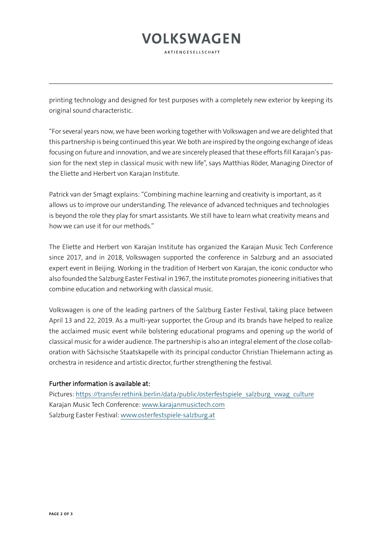# **VOLKSWAGEN**

AKTIFNGFSFLISCHAFT

printing technology and designed for test purposes with a completely new exterior by keeping its original sound characteristic.

"For several years now, we have been working together with Volkswagen and we are delighted that this partnership is being continued this year. We both are inspired by the ongoing exchange of ideas focusing on future and innovation, and we are sincerely pleased that these efforts fill Karajan's passion for the next step in classical music with new life", says Matthias Röder, Managing Director of the Eliette and Herbert von Karajan Institute.

Patrick van der Smagt explains: "Combining machine learning and creativity is important, as it allows us to improve our understanding. The relevance of advanced techniques and technologies is beyond the role they play for smart assistants. We still have to learn what creativity means and how we can use it for our methods."

The Eliette and Herbert von Karajan Institute has organized the Karajan Music Tech Conference since 2017, and in 2018, Volkswagen supported the conference in Salzburg and an associated expert event in Beijing. Working in the tradition of Herbert von Karajan, the iconic conductor who also founded the Salzburg Easter Festival in 1967, the institute promotes pioneering initiatives that combine education and networking with classical music.

Volkswagen is one of the leading partners of the Salzburg Easter Festival, taking place between April 13 and 22, 2019. As a multi-year supporter, the Group and its brands have helped to realize the acclaimed music event while bolstering educational programs and opening up the world of classical music for a wider audience. The partnership is also an integral element of the close collaboration with Sächsische Staatskapelle with its principal conductor Christian Thielemann acting as orchestra in residence and artistic director, further strengthening the festival.

### Further information is available at:

Pictures: [https://transfer.rethink.berlin/data/public/osterfestspiele\\_salzburg\\_vwag\\_culture](https://transfer.rethink.berlin/data/public/osterfestspiele_salzburg_vwag_culture) Karajan Music Tech Conference: [www.karajanmusictech.com](http://www.karajanmusictech.com/) Salzburg Easter Festival: [www.osterfestspiele-salzburg.at](http://www.osterfestspiele-salzburg.at/)